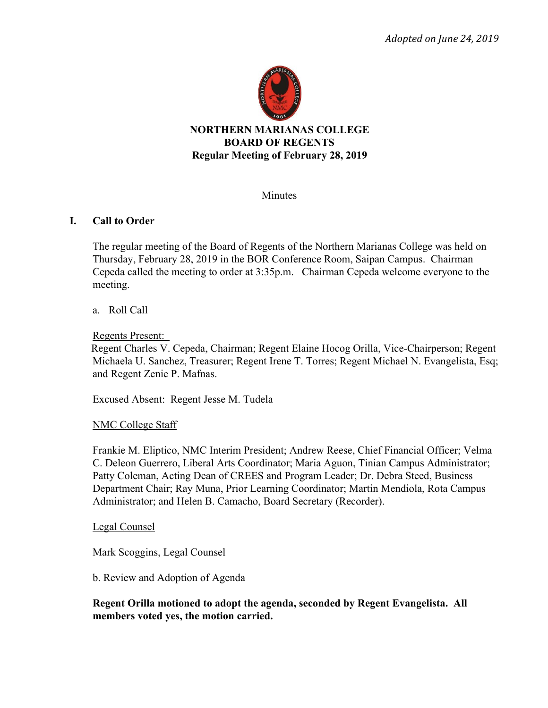

**NORTHERN MARIANAS COLLEGE BOARD OF REGENTS Regular Meeting of February 28, 2019**

Minutes

## **I. Call to Order**

The regular meeting of the Board of Regents of the Northern Marianas College was held on Thursday, February 28, 2019 in the BOR Conference Room, Saipan Campus. Chairman Cepeda called the meeting to order at 3:35p.m. Chairman Cepeda welcome everyone to the meeting.

## a. Roll Call

Regents Present:

 Regent Charles V. Cepeda, Chairman; Regent Elaine Hocog Orilla, Vice-Chairperson; Regent Michaela U. Sanchez, Treasurer; Regent Irene T. Torres; Regent Michael N. Evangelista, Esq; and Regent Zenie P. Mafnas.

Excused Absent: Regent Jesse M. Tudela

## NMC College Staff

Frankie M. Eliptico, NMC Interim President; Andrew Reese, Chief Financial Officer; Velma C. Deleon Guerrero, Liberal Arts Coordinator; Maria Aguon, Tinian Campus Administrator; Patty Coleman, Acting Dean of CREES and Program Leader; Dr. Debra Steed, Business Department Chair; Ray Muna, Prior Learning Coordinator; Martin Mendiola, Rota Campus Administrator; and Helen B. Camacho, Board Secretary (Recorder).

#### Legal Counsel

Mark Scoggins, Legal Counsel

b. Review and Adoption of Agenda

**Regent Orilla motioned to adopt the agenda, seconded by Regent Evangelista. All members voted yes, the motion carried.**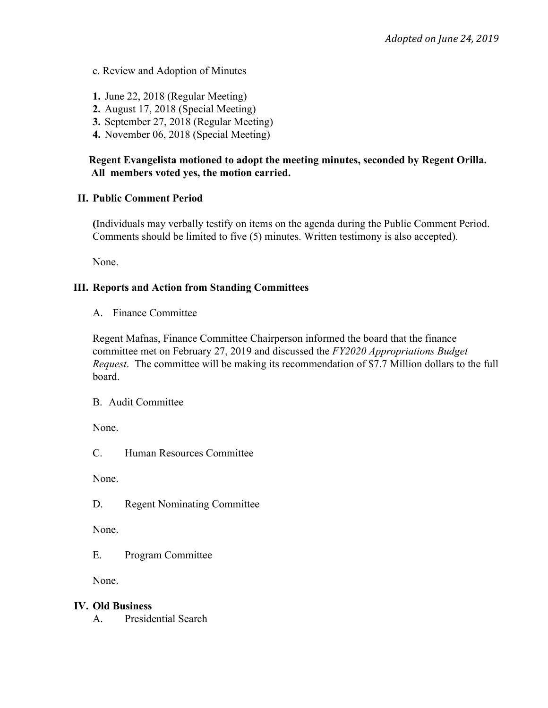- c. Review and Adoption of Minutes
- **1.** June 22, 2018 (Regular Meeting)
- **2.** August 17, 2018 (Special Meeting)
- **3.** September 27, 2018 (Regular Meeting)
- **4.** November 06, 2018 (Special Meeting)

## **Regent Evangelista motioned to adopt the meeting minutes, seconded by Regent Orilla. All members voted yes, the motion carried.**

## **II. Public Comment Period**

**(**Individuals may verbally testify on items on the agenda during the Public Comment Period. Comments should be limited to five (5) minutes. Written testimony is also accepted).

None.

## **III. Reports and Action from Standing Committees**

A. Finance Committee

Regent Mafnas, Finance Committee Chairperson informed the board that the finance committee met on February 27, 2019 and discussed the *FY2020 Appropriations Budget Request*. The committee will be making its recommendation of \$7.7 Million dollars to the full board.

B. Audit Committee

None.

C. Human Resources Committee

None.

D. Regent Nominating Committee

None.

E. Program Committee

None.

## **IV. Old Business**

A. Presidential Search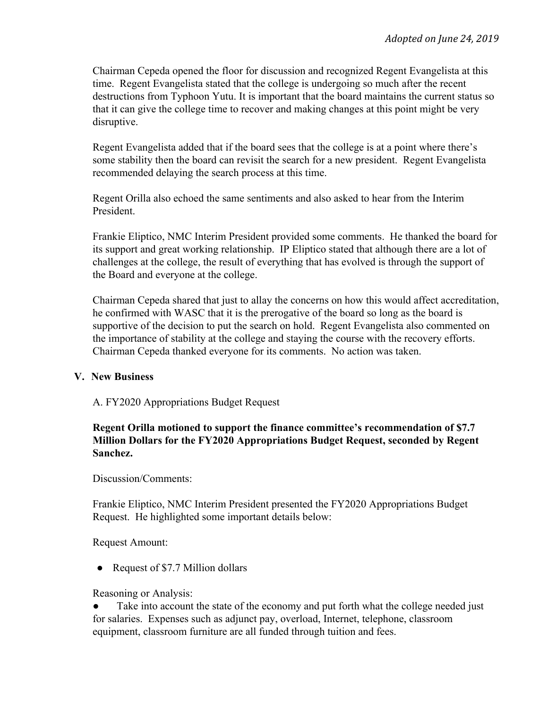Chairman Cepeda opened the floor for discussion and recognized Regent Evangelista at this time. Regent Evangelista stated that the college is undergoing so much after the recent destructions from Typhoon Yutu. It is important that the board maintains the current status so that it can give the college time to recover and making changes at this point might be very disruptive.

Regent Evangelista added that if the board sees that the college is at a point where there's some stability then the board can revisit the search for a new president. Regent Evangelista recommended delaying the search process at this time.

Regent Orilla also echoed the same sentiments and also asked to hear from the Interim President.

Frankie Eliptico, NMC Interim President provided some comments. He thanked the board for its support and great working relationship. IP Eliptico stated that although there are a lot of challenges at the college, the result of everything that has evolved is through the support of the Board and everyone at the college.

Chairman Cepeda shared that just to allay the concerns on how this would affect accreditation, he confirmed with WASC that it is the prerogative of the board so long as the board is supportive of the decision to put the search on hold. Regent Evangelista also commented on the importance of stability at the college and staying the course with the recovery efforts. Chairman Cepeda thanked everyone for its comments. No action was taken.

#### **V. New Business**

A. FY2020 Appropriations Budget Request

## **Regent Orilla motioned to support the finance committee's recommendation of \$7.7 Million Dollars for the FY2020 Appropriations Budget Request, seconded by Regent Sanchez.**

Discussion/Comments:

Frankie Eliptico, NMC Interim President presented the FY2020 Appropriations Budget Request. He highlighted some important details below:

Request Amount:

• Request of \$7.7 Million dollars

Reasoning or Analysis:

Take into account the state of the economy and put forth what the college needed just for salaries. Expenses such as adjunct pay, overload, Internet, telephone, classroom equipment, classroom furniture are all funded through tuition and fees.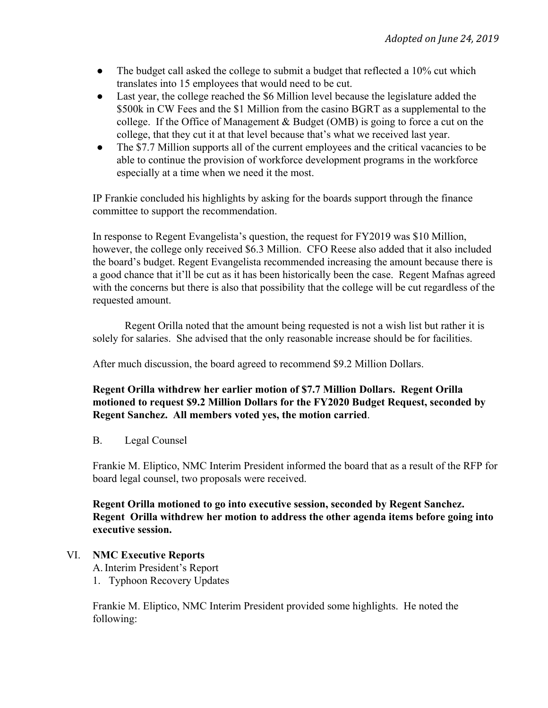- $\bullet$  The budget call asked the college to submit a budget that reflected a 10% cut which translates into 15 employees that would need to be cut.
- Last year, the college reached the \$6 Million level because the legislature added the \$500k in CW Fees and the \$1 Million from the casino BGRT as a supplemental to the college. If the Office of Management & Budget (OMB) is going to force a cut on the college, that they cut it at that level because that's what we received last year.
- The \$7.7 Million supports all of the current employees and the critical vacancies to be able to continue the provision of workforce development programs in the workforce especially at a time when we need it the most.

IP Frankie concluded his highlights by asking for the boards support through the finance committee to support the recommendation.

In response to Regent Evangelista's question, the request for FY2019 was \$10 Million, however, the college only received \$6.3 Million. CFO Reese also added that it also included the board's budget. Regent Evangelista recommended increasing the amount because there is a good chance that it'll be cut as it has been historically been the case. Regent Mafnas agreed with the concerns but there is also that possibility that the college will be cut regardless of the requested amount.

Regent Orilla noted that the amount being requested is not a wish list but rather it is solely for salaries. She advised that the only reasonable increase should be for facilities.

After much discussion, the board agreed to recommend \$9.2 Million Dollars.

## **Regent Orilla withdrew her earlier motion of \$7.7 Million Dollars. Regent Orilla motioned to request \$9.2 Million Dollars for the FY2020 Budget Request, seconded by Regent Sanchez. All members voted yes, the motion carried**.

B. Legal Counsel

Frankie M. Eliptico, NMC Interim President informed the board that as a result of the RFP for board legal counsel, two proposals were received.

**Regent Orilla motioned to go into executive session, seconded by Regent Sanchez. Regent Orilla withdrew her motion to address the other agenda items before going into executive session.**

## VI. **NMC Executive Reports**

A.Interim President's Report

1. Typhoon Recovery Updates

Frankie M. Eliptico, NMC Interim President provided some highlights. He noted the following: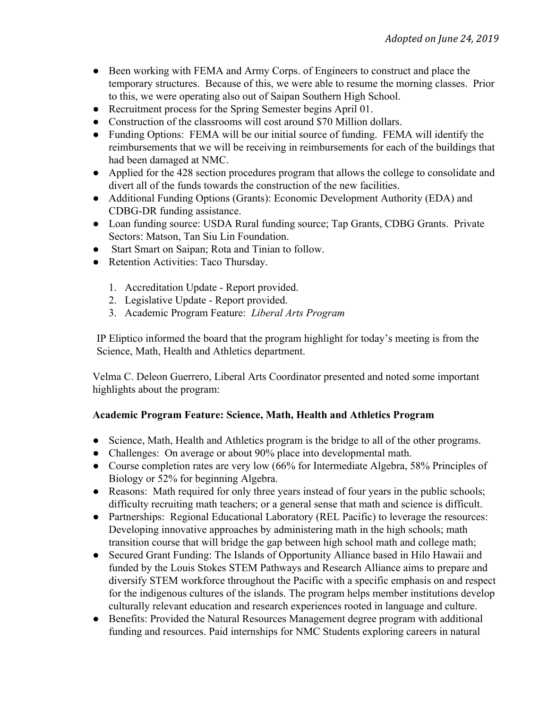- Been working with FEMA and Army Corps. of Engineers to construct and place the temporary structures. Because of this, we were able to resume the morning classes. Prior to this, we were operating also out of Saipan Southern High School.
- Recruitment process for the Spring Semester begins April 01.
- Construction of the classrooms will cost around \$70 Million dollars.
- Funding Options: FEMA will be our initial source of funding. FEMA will identify the reimbursements that we will be receiving in reimbursements for each of the buildings that had been damaged at NMC.
- Applied for the 428 section procedures program that allows the college to consolidate and divert all of the funds towards the construction of the new facilities.
- Additional Funding Options (Grants): Economic Development Authority (EDA) and CDBG-DR funding assistance.
- Loan funding source: USDA Rural funding source; Tap Grants, CDBG Grants. Private Sectors: Matson, Tan Siu Lin Foundation.
- Start Smart on Saipan; Rota and Tinian to follow.
- Retention Activities: Taco Thursday.
	- 1. Accreditation Update Report provided.
	- 2. Legislative Update Report provided.
	- 3. Academic Program Feature: *Liberal Arts Program*

IP Eliptico informed the board that the program highlight for today's meeting is from the Science, Math, Health and Athletics department.

Velma C. Deleon Guerrero, Liberal Arts Coordinator presented and noted some important highlights about the program:

# **Academic Program Feature: Science, Math, Health and Athletics Program**

- Science, Math, Health and Athletics program is the bridge to all of the other programs.
- Challenges: On average or about 90% place into developmental math.
- Course completion rates are very low (66% for Intermediate Algebra, 58% Principles of Biology or 52% for beginning Algebra.
- Reasons: Math required for only three years instead of four years in the public schools; difficulty recruiting math teachers; or a general sense that math and science is difficult.
- Partnerships: Regional Educational Laboratory (REL Pacific) to leverage the resources: Developing innovative approaches by administering math in the high schools; math transition course that will bridge the gap between high school math and college math;
- Secured Grant Funding: The Islands of Opportunity Alliance based in Hilo Hawaii and funded by the Louis Stokes STEM Pathways and Research Alliance aims to prepare and diversify STEM workforce throughout the Pacific with a specific emphasis on and respect for the indigenous cultures of the islands. The program helps member institutions develop culturally relevant education and research experiences rooted in language and culture.
- Benefits: Provided the Natural Resources Management degree program with additional funding and resources. Paid internships for NMC Students exploring careers in natural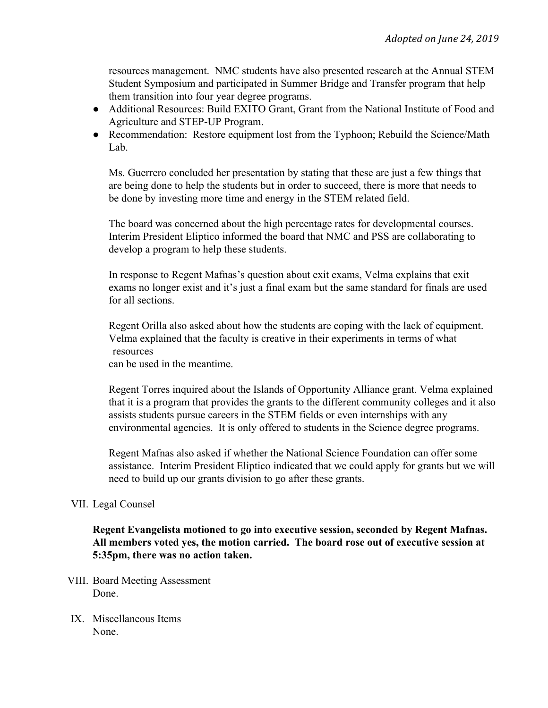resources management. NMC students have also presented research at the Annual STEM Student Symposium and participated in Summer Bridge and Transfer program that help them transition into four year degree programs.

- Additional Resources: Build EXITO Grant, Grant from the National Institute of Food and Agriculture and STEP-UP Program.
- Recommendation: Restore equipment lost from the Typhoon; Rebuild the Science/Math Lab.

Ms. Guerrero concluded her presentation by stating that these are just a few things that are being done to help the students but in order to succeed, there is more that needs to be done by investing more time and energy in the STEM related field.

The board was concerned about the high percentage rates for developmental courses. Interim President Eliptico informed the board that NMC and PSS are collaborating to develop a program to help these students.

In response to Regent Mafnas's question about exit exams, Velma explains that exit exams no longer exist and it's just a final exam but the same standard for finals are used for all sections.

Regent Orilla also asked about how the students are coping with the lack of equipment. Velma explained that the faculty is creative in their experiments in terms of what resources

can be used in the meantime.

Regent Torres inquired about the Islands of Opportunity Alliance grant. Velma explained that it is a program that provides the grants to the different community colleges and it also assists students pursue careers in the STEM fields or even internships with any environmental agencies. It is only offered to students in the Science degree programs.

Regent Mafnas also asked if whether the National Science Foundation can offer some assistance. Interim President Eliptico indicated that we could apply for grants but we will need to build up our grants division to go after these grants.

## VII. Legal Counsel

**Regent Evangelista motioned to go into executive session, seconded by Regent Mafnas. All members voted yes, the motion carried. The board rose out of executive session at 5:35pm, there was no action taken.**

- VIII. Board Meeting Assessment Done.
- IX. Miscellaneous Items None.